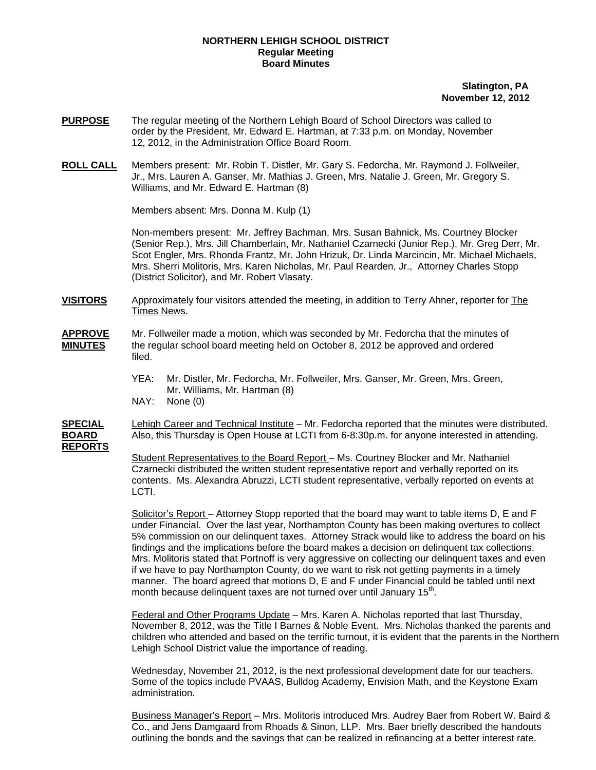## **NORTHERN LEHIGH SCHOOL DISTRICT Regular Meeting Board Minutes**

## **Slatington, PA November 12, 2012**

- **PURPOSE** The regular meeting of the Northern Lehigh Board of School Directors was called to order by the President, Mr. Edward E. Hartman, at 7:33 p.m. on Monday, November 12, 2012, in the Administration Office Board Room.
- **ROLL CALL** Members present: Mr. Robin T. Distler, Mr. Gary S. Fedorcha, Mr. Raymond J. Follweiler, Jr., Mrs. Lauren A. Ganser, Mr. Mathias J. Green, Mrs. Natalie J. Green, Mr. Gregory S. Williams, and Mr. Edward E. Hartman (8)

Members absent: Mrs. Donna M. Kulp (1)

Non-members present: Mr. Jeffrey Bachman, Mrs. Susan Bahnick, Ms. Courtney Blocker (Senior Rep.), Mrs. Jill Chamberlain, Mr. Nathaniel Czarnecki (Junior Rep.), Mr. Greg Derr, Mr. Scot Engler, Mrs. Rhonda Frantz, Mr. John Hrizuk, Dr. Linda Marcincin, Mr. Michael Michaels, Mrs. Sherri Molitoris, Mrs. Karen Nicholas, Mr. Paul Rearden, Jr., Attorney Charles Stopp (District Solicitor), and Mr. Robert Vlasaty.

- **VISITORS** Approximately four visitors attended the meeting, in addition to Terry Ahner, reporter for The Times News.
- **APPROVE** Mr. Follweiler made a motion, which was seconded by Mr. Fedorcha that the minutes of **MINUTES** the regular school board meeting held on October 8, 2012 be approved and ordered filed.
	- YEA: Mr. Distler, Mr. Fedorcha, Mr. Follweiler, Mrs. Ganser, Mr. Green, Mrs. Green, Mr. Williams, Mr. Hartman (8)
	- NAY: None (0)

**SPECIAL** Lehigh Career and Technical Institute – Mr. Fedorcha reported that the minutes were distributed. **BOARD** Also, this Thursday is Open House at LCTI from 6-8:30p.m. for anyone interested in attending. **REPORTS**

> Student Representatives to the Board Report – Ms. Courtney Blocker and Mr. Nathaniel Czarnecki distributed the written student representative report and verbally reported on its contents. Ms. Alexandra Abruzzi, LCTI student representative, verbally reported on events at LCTI.

Solicitor's Report – Attorney Stopp reported that the board may want to table items D, E and F under Financial. Over the last year, Northampton County has been making overtures to collect 5% commission on our delinquent taxes. Attorney Strack would like to address the board on his findings and the implications before the board makes a decision on delinquent tax collections. Mrs. Molitoris stated that Portnoff is very aggressive on collecting our delinquent taxes and even if we have to pay Northampton County, do we want to risk not getting payments in a timely manner. The board agreed that motions D, E and F under Financial could be tabled until next month because delinquent taxes are not turned over until January 15<sup>th</sup>.

Federal and Other Programs Update – Mrs. Karen A. Nicholas reported that last Thursday, November 8, 2012, was the Title I Barnes & Noble Event. Mrs. Nicholas thanked the parents and children who attended and based on the terrific turnout, it is evident that the parents in the Northern Lehigh School District value the importance of reading.

 Wednesday, November 21, 2012, is the next professional development date for our teachers. Some of the topics include PVAAS, Bulldog Academy, Envision Math, and the Keystone Exam administration.

 Business Manager's Report – Mrs. Molitoris introduced Mrs. Audrey Baer from Robert W. Baird & Co., and Jens Damgaard from Rhoads & Sinon, LLP. Mrs. Baer briefly described the handouts outlining the bonds and the savings that can be realized in refinancing at a better interest rate.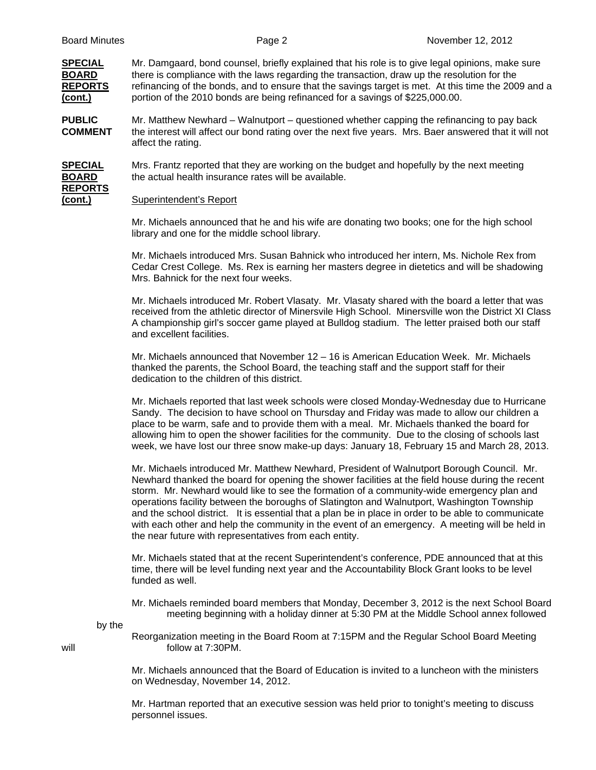**REPORTS**

**SPECIAL** Mr. Damgaard, bond counsel, briefly explained that his role is to give legal opinions, make sure **BOARD** there is compliance with the laws regarding the transaction, draw up the resolution for the **REPORTS** refinancing of the bonds, and to ensure that the savings target is met. At this time the 2009 and a **(cont.)** portion of the 2010 bonds are being refinanced for a savings of \$225,000.00.

**PUBLIC** Mr. Matthew Newhard – Walnutport – questioned whether capping the refinancing to pay back **COMMENT** the interest will affect our bond rating over the next five years. Mrs. Baer answered that it will not affect the rating.

**SPECIAL** Mrs. Frantz reported that they are working on the budget and hopefully by the next meeting **BOARD** the actual health insurance rates will be available.

## **(cont.)** Superintendent's Report

Mr. Michaels announced that he and his wife are donating two books; one for the high school library and one for the middle school library.

Mr. Michaels introduced Mrs. Susan Bahnick who introduced her intern, Ms. Nichole Rex from Cedar Crest College. Ms. Rex is earning her masters degree in dietetics and will be shadowing Mrs. Bahnick for the next four weeks.

Mr. Michaels introduced Mr. Robert Vlasaty. Mr. Vlasaty shared with the board a letter that was received from the athletic director of Minersvile High School. Minersville won the District XI Class A championship girl's soccer game played at Bulldog stadium. The letter praised both our staff and excellent facilities.

Mr. Michaels announced that November 12 – 16 is American Education Week. Mr. Michaels thanked the parents, the School Board, the teaching staff and the support staff for their dedication to the children of this district.

Mr. Michaels reported that last week schools were closed Monday-Wednesday due to Hurricane Sandy. The decision to have school on Thursday and Friday was made to allow our children a place to be warm, safe and to provide them with a meal. Mr. Michaels thanked the board for allowing him to open the shower facilities for the community. Due to the closing of schools last week, we have lost our three snow make-up days: January 18, February 15 and March 28, 2013.

Mr. Michaels introduced Mr. Matthew Newhard, President of Walnutport Borough Council. Mr. Newhard thanked the board for opening the shower facilities at the field house during the recent storm. Mr. Newhard would like to see the formation of a community-wide emergency plan and operations facility between the boroughs of Slatington and Walnutport, Washington Township and the school district. It is essential that a plan be in place in order to be able to communicate with each other and help the community in the event of an emergency. A meeting will be held in the near future with representatives from each entity.

Mr. Michaels stated that at the recent Superintendent's conference, PDE announced that at this time, there will be level funding next year and the Accountability Block Grant looks to be level funded as well.

Mr. Michaels reminded board members that Monday, December 3, 2012 is the next School Board meeting beginning with a holiday dinner at 5:30 PM at the Middle School annex followed

by the

 Reorganization meeting in the Board Room at 7:15PM and the Regular School Board Meeting will  $\blacksquare$  follow at 7:30PM.

> Mr. Michaels announced that the Board of Education is invited to a luncheon with the ministers on Wednesday, November 14, 2012.

Mr. Hartman reported that an executive session was held prior to tonight's meeting to discuss personnel issues.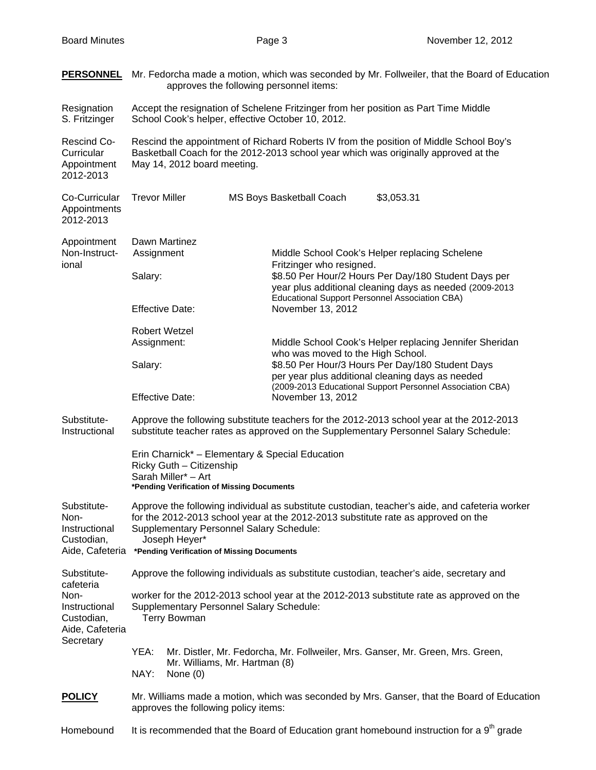|                                                                                  | <b>PERSONNEL</b> Mr. Fedorcha made a motion, which was seconded by Mr. Follweiler, that the Board of Education<br>approves the following personnel items:                                                                                                                                                             |                                                                                                                                                                                                      |  |
|----------------------------------------------------------------------------------|-----------------------------------------------------------------------------------------------------------------------------------------------------------------------------------------------------------------------------------------------------------------------------------------------------------------------|------------------------------------------------------------------------------------------------------------------------------------------------------------------------------------------------------|--|
| Resignation<br>S. Fritzinger                                                     | Accept the resignation of Schelene Fritzinger from her position as Part Time Middle<br>School Cook's helper, effective October 10, 2012.                                                                                                                                                                              |                                                                                                                                                                                                      |  |
| Rescind Co-<br>Curricular<br>Appointment<br>2012-2013                            | Rescind the appointment of Richard Roberts IV from the position of Middle School Boy's<br>Basketball Coach for the 2012-2013 school year which was originally approved at the<br>May 14, 2012 board meeting.                                                                                                          |                                                                                                                                                                                                      |  |
| Co-Curricular<br>Appointments<br>2012-2013                                       | <b>Trevor Miller</b>                                                                                                                                                                                                                                                                                                  | \$3,053.31<br>MS Boys Basketball Coach                                                                                                                                                               |  |
| Appointment<br>Non-Instruct-<br>ional                                            | Dawn Martinez<br>Assignment                                                                                                                                                                                                                                                                                           | Middle School Cook's Helper replacing Schelene<br>Fritzinger who resigned.                                                                                                                           |  |
|                                                                                  | Salary:                                                                                                                                                                                                                                                                                                               | \$8.50 Per Hour/2 Hours Per Day/180 Student Days per<br>year plus additional cleaning days as needed (2009-2013                                                                                      |  |
|                                                                                  | <b>Effective Date:</b>                                                                                                                                                                                                                                                                                                | <b>Educational Support Personnel Association CBA)</b><br>November 13, 2012                                                                                                                           |  |
|                                                                                  | <b>Robert Wetzel</b><br>Assignment:                                                                                                                                                                                                                                                                                   | Middle School Cook's Helper replacing Jennifer Sheridan<br>who was moved to the High School.<br>\$8.50 Per Hour/3 Hours Per Day/180 Student Days<br>per year plus additional cleaning days as needed |  |
|                                                                                  | Salary:                                                                                                                                                                                                                                                                                                               |                                                                                                                                                                                                      |  |
|                                                                                  | <b>Effective Date:</b>                                                                                                                                                                                                                                                                                                | (2009-2013 Educational Support Personnel Association CBA)<br>November 13, 2012                                                                                                                       |  |
| Substitute-<br>Instructional                                                     | Approve the following substitute teachers for the 2012-2013 school year at the 2012-2013<br>substitute teacher rates as approved on the Supplementary Personnel Salary Schedule:                                                                                                                                      |                                                                                                                                                                                                      |  |
|                                                                                  | Erin Charnick* - Elementary & Special Education<br>Ricky Guth - Citizenship<br>Sarah Miller* - Art<br>*Pending Verification of Missing Documents                                                                                                                                                                      |                                                                                                                                                                                                      |  |
| Substitute-<br>Non-<br>Instructional<br>Custodian,                               | Approve the following individual as substitute custodian, teacher's aide, and cafeteria worker<br>for the 2012-2013 school year at the 2012-2013 substitute rate as approved on the<br><b>Supplementary Personnel Salary Schedule:</b><br>Joseph Heyer*<br>Aide, Cafeteria *Pending Verification of Missing Documents |                                                                                                                                                                                                      |  |
| Substitute-                                                                      | Approve the following individuals as substitute custodian, teacher's aide, secretary and                                                                                                                                                                                                                              |                                                                                                                                                                                                      |  |
| cafeteria<br>Non-<br>Instructional<br>Custodian,<br>Aide, Cafeteria<br>Secretary | worker for the 2012-2013 school year at the 2012-2013 substitute rate as approved on the<br><b>Supplementary Personnel Salary Schedule:</b><br><b>Terry Bowman</b>                                                                                                                                                    |                                                                                                                                                                                                      |  |
|                                                                                  | YEA:<br>Mr. Williams, Mr. Hartman (8)<br>NAY:<br>None $(0)$                                                                                                                                                                                                                                                           | Mr. Distler, Mr. Fedorcha, Mr. Follweiler, Mrs. Ganser, Mr. Green, Mrs. Green,                                                                                                                       |  |
| <b>POLICY</b>                                                                    | Mr. Williams made a motion, which was seconded by Mrs. Ganser, that the Board of Education<br>approves the following policy items:                                                                                                                                                                                    |                                                                                                                                                                                                      |  |
| Homebound                                                                        | It is recommended that the Board of Education grant homebound instruction for a $9th$ grade                                                                                                                                                                                                                           |                                                                                                                                                                                                      |  |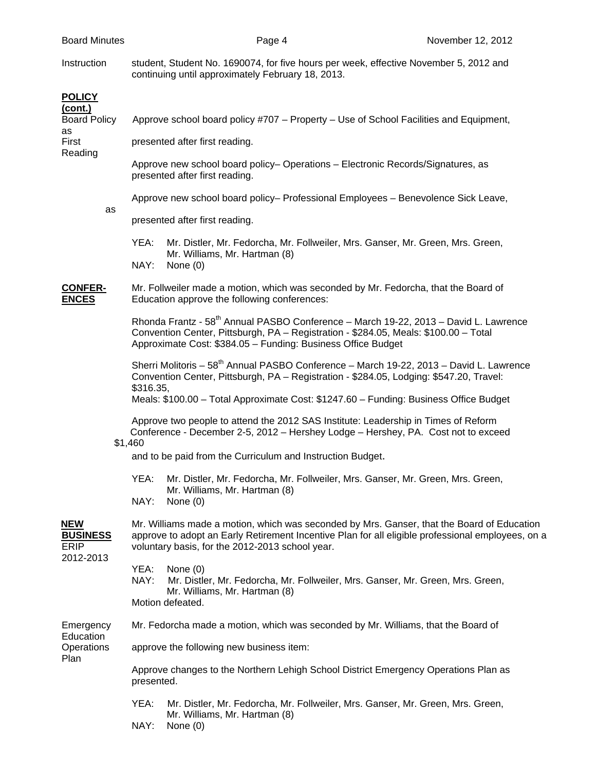Instruction student, Student No. 1690074, for five hours per week, effective November 5, 2012 and continuing until approximately February 18, 2013.

| <b>POLICY</b><br>(cont.)                     |                                                                                                                                                                                                                                                          |
|----------------------------------------------|----------------------------------------------------------------------------------------------------------------------------------------------------------------------------------------------------------------------------------------------------------|
| <b>Board Policy</b><br>as                    | Approve school board policy #707 - Property - Use of School Facilities and Equipment,                                                                                                                                                                    |
| First<br>Reading                             | presented after first reading.                                                                                                                                                                                                                           |
|                                              | Approve new school board policy- Operations - Electronic Records/Signatures, as<br>presented after first reading.                                                                                                                                        |
|                                              | Approve new school board policy- Professional Employees - Benevolence Sick Leave,                                                                                                                                                                        |
|                                              | as<br>presented after first reading.                                                                                                                                                                                                                     |
|                                              | YEA:<br>Mr. Distler, Mr. Fedorcha, Mr. Follweiler, Mrs. Ganser, Mr. Green, Mrs. Green,<br>Mr. Williams, Mr. Hartman (8)<br>NAY:<br>None $(0)$                                                                                                            |
| <b>CONFER-</b><br><b>ENCES</b>               | Mr. Follweiler made a motion, which was seconded by Mr. Fedorcha, that the Board of<br>Education approve the following conferences:                                                                                                                      |
|                                              | Rhonda Frantz - 58 <sup>th</sup> Annual PASBO Conference - March 19-22, 2013 - David L. Lawrence<br>Convention Center, Pittsburgh, PA - Registration - \$284.05, Meals: \$100.00 - Total<br>Approximate Cost: \$384.05 - Funding: Business Office Budget |
|                                              | Sherri Molitoris - 58 <sup>th</sup> Annual PASBO Conference - March 19-22, 2013 - David L. Lawrence<br>Convention Center, Pittsburgh, PA - Registration - \$284.05, Lodging: \$547.20, Travel:<br>\$316.35,                                              |
|                                              | Meals: \$100.00 - Total Approximate Cost: \$1247.60 - Funding: Business Office Budget                                                                                                                                                                    |
|                                              | Approve two people to attend the 2012 SAS Institute: Leadership in Times of Reform<br>Conference - December 2-5, 2012 - Hershey Lodge - Hershey, PA. Cost not to exceed<br>\$1,460                                                                       |
|                                              | and to be paid from the Curriculum and Instruction Budget.                                                                                                                                                                                               |
|                                              | YEA:<br>Mr. Distler, Mr. Fedorcha, Mr. Follweiler, Mrs. Ganser, Mr. Green, Mrs. Green,<br>Mr. Williams, Mr. Hartman (8)<br>NAY:<br>None $(0)$                                                                                                            |
| <b>NEW</b><br><b>BUSINESS</b><br><b>ERIP</b> | Mr. Williams made a motion, which was seconded by Mrs. Ganser, that the Board of Education<br>approve to adopt an Early Retirement Incentive Plan for all eligible professional employees, on a<br>voluntary basis, for the 2012-2013 school year.       |
| 2012-2013                                    | YEA:<br>None $(0)$<br>NAY:<br>Mr. Distler, Mr. Fedorcha, Mr. Follweiler, Mrs. Ganser, Mr. Green, Mrs. Green,<br>Mr. Williams, Mr. Hartman (8)<br>Motion defeated.                                                                                        |
| Emergency                                    | Mr. Fedorcha made a motion, which was seconded by Mr. Williams, that the Board of                                                                                                                                                                        |
| Education<br>Operations<br>Plan              | approve the following new business item:                                                                                                                                                                                                                 |
|                                              | Approve changes to the Northern Lehigh School District Emergency Operations Plan as<br>presented.                                                                                                                                                        |
|                                              | YEA:<br>Mr. Distler, Mr. Fedorcha, Mr. Follweiler, Mrs. Ganser, Mr. Green, Mrs. Green,<br>Mr. Williams, Mr. Hartman (8)                                                                                                                                  |

NAY: None (0)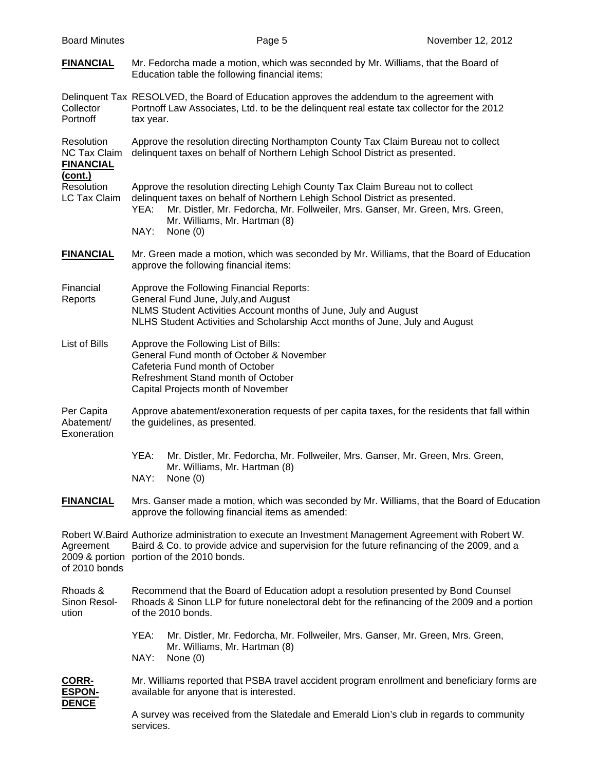| <b>FINANCIAL</b>                                      | Mr. Fedorcha made a motion, which was seconded by Mr. Williams, that the Board of<br>Education table the following financial items:                                                                                                                                                                            |  |  |
|-------------------------------------------------------|----------------------------------------------------------------------------------------------------------------------------------------------------------------------------------------------------------------------------------------------------------------------------------------------------------------|--|--|
| Collector<br>Portnoff                                 | Delinquent Tax RESOLVED, the Board of Education approves the addendum to the agreement with<br>Portnoff Law Associates, Ltd. to be the delinquent real estate tax collector for the 2012<br>tax year.                                                                                                          |  |  |
| Resolution<br><b>NC Tax Claim</b><br><b>FINANCIAL</b> | Approve the resolution directing Northampton County Tax Claim Bureau not to collect<br>delinquent taxes on behalf of Northern Lehigh School District as presented.                                                                                                                                             |  |  |
| <u>(cont.)</u><br>Resolution<br><b>LC Tax Claim</b>   | Approve the resolution directing Lehigh County Tax Claim Bureau not to collect<br>delinquent taxes on behalf of Northern Lehigh School District as presented.<br>Mr. Distler, Mr. Fedorcha, Mr. Follweiler, Mrs. Ganser, Mr. Green, Mrs. Green,<br>YEA:<br>Mr. Williams, Mr. Hartman (8)<br>NAY:<br>None $(0)$ |  |  |
| <b>FINANCIAL</b>                                      | Mr. Green made a motion, which was seconded by Mr. Williams, that the Board of Education<br>approve the following financial items:                                                                                                                                                                             |  |  |
| Financial<br>Reports                                  | Approve the Following Financial Reports:<br>General Fund June, July, and August<br>NLMS Student Activities Account months of June, July and August<br>NLHS Student Activities and Scholarship Acct months of June, July and August                                                                             |  |  |
| List of Bills                                         | Approve the Following List of Bills:<br>General Fund month of October & November<br>Cafeteria Fund month of October<br>Refreshment Stand month of October<br>Capital Projects month of November                                                                                                                |  |  |
| Per Capita<br>Abatement/<br>Exoneration               | Approve abatement/exoneration requests of per capita taxes, for the residents that fall within<br>the guidelines, as presented.                                                                                                                                                                                |  |  |
|                                                       | YEA:<br>Mr. Distler, Mr. Fedorcha, Mr. Follweiler, Mrs. Ganser, Mr. Green, Mrs. Green,<br>Mr. Williams, Mr. Hartman (8)<br>NAY:<br>None $(0)$                                                                                                                                                                  |  |  |
| <b>FINANCIAL</b>                                      | Mrs. Ganser made a motion, which was seconded by Mr. Williams, that the Board of Education<br>approve the following financial items as amended:                                                                                                                                                                |  |  |
| Agreement<br>2009 & portion<br>of 2010 bonds          | Robert W.Baird Authorize administration to execute an Investment Management Agreement with Robert W.<br>Baird & Co. to provide advice and supervision for the future refinancing of the 2009, and a<br>portion of the 2010 bonds.                                                                              |  |  |
| Rhoads &<br>Sinon Resol-<br>ution                     | Recommend that the Board of Education adopt a resolution presented by Bond Counsel<br>Rhoads & Sinon LLP for future nonelectoral debt for the refinancing of the 2009 and a portion<br>of the 2010 bonds.                                                                                                      |  |  |
|                                                       | YEA:<br>Mr. Distler, Mr. Fedorcha, Mr. Follweiler, Mrs. Ganser, Mr. Green, Mrs. Green,<br>Mr. Williams, Mr. Hartman (8)<br>NAY:<br>None $(0)$                                                                                                                                                                  |  |  |
| CORR-<br><b>ESPON-</b>                                | Mr. Williams reported that PSBA travel accident program enrollment and beneficiary forms are<br>available for anyone that is interested.                                                                                                                                                                       |  |  |
| <b>DENCE</b>                                          | A survey was received from the Slatedale and Emerald Lion's club in regards to community<br>services.                                                                                                                                                                                                          |  |  |